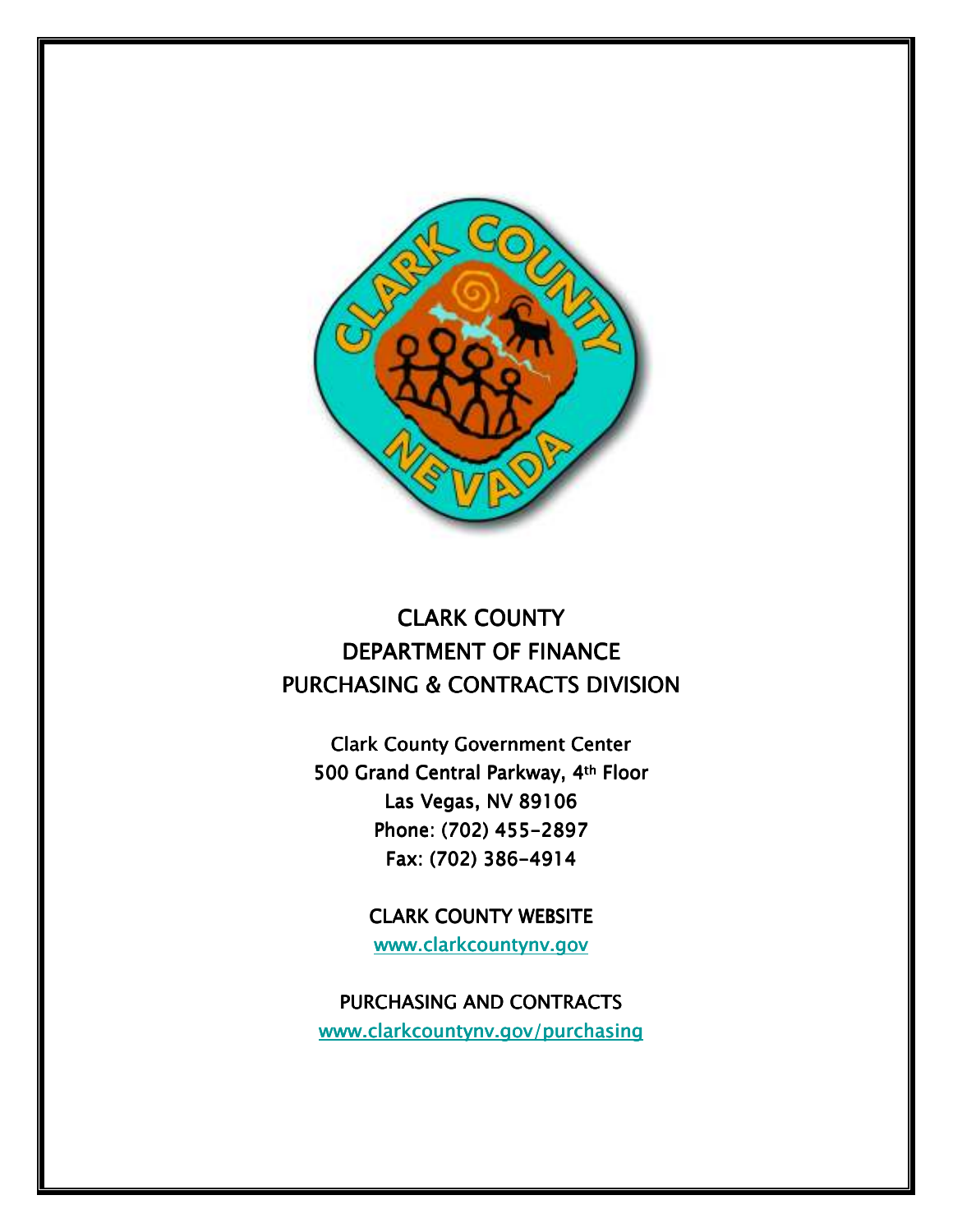

# *CLARK COUNTY CLARK COUNTY*  **DEPARTMENT OF FINANCE** *PURCHASING & CONTRACTS DIVISION*

*Clark County Government Center Center 500 Grand Central Parkway, 4 500 Parkway, 4th Floor Las Vegas, NV 89106 Phone: (702) 455- 455-2897 Fax: (702) 386- (702) 386-4914* 

> **CLARK COUNTY WEBSITE** *www.clarkcountynv.gov www.clarkcountynv.gov*

**PURCHASING AND CONTRACTS** *www.clarkco www.clarkcoclarkcountynv.gov/purchasing untynv.gov/purchasing*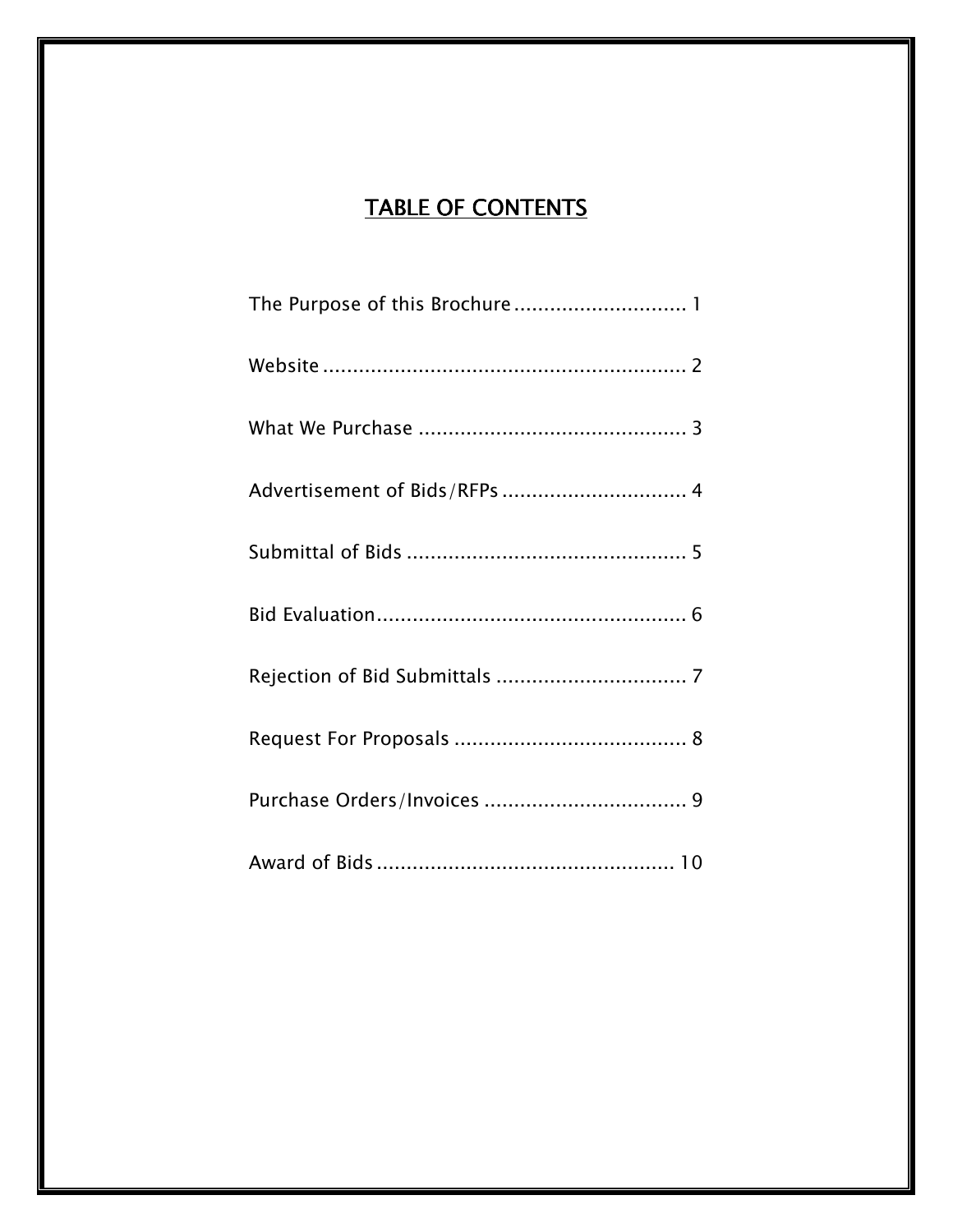# *TABLE OF CONTENTS*

| The Purpose of this Brochure 1 |
|--------------------------------|
|                                |
|                                |
| Advertisement of Bids/RFPs  4  |
|                                |
|                                |
|                                |
|                                |
|                                |
|                                |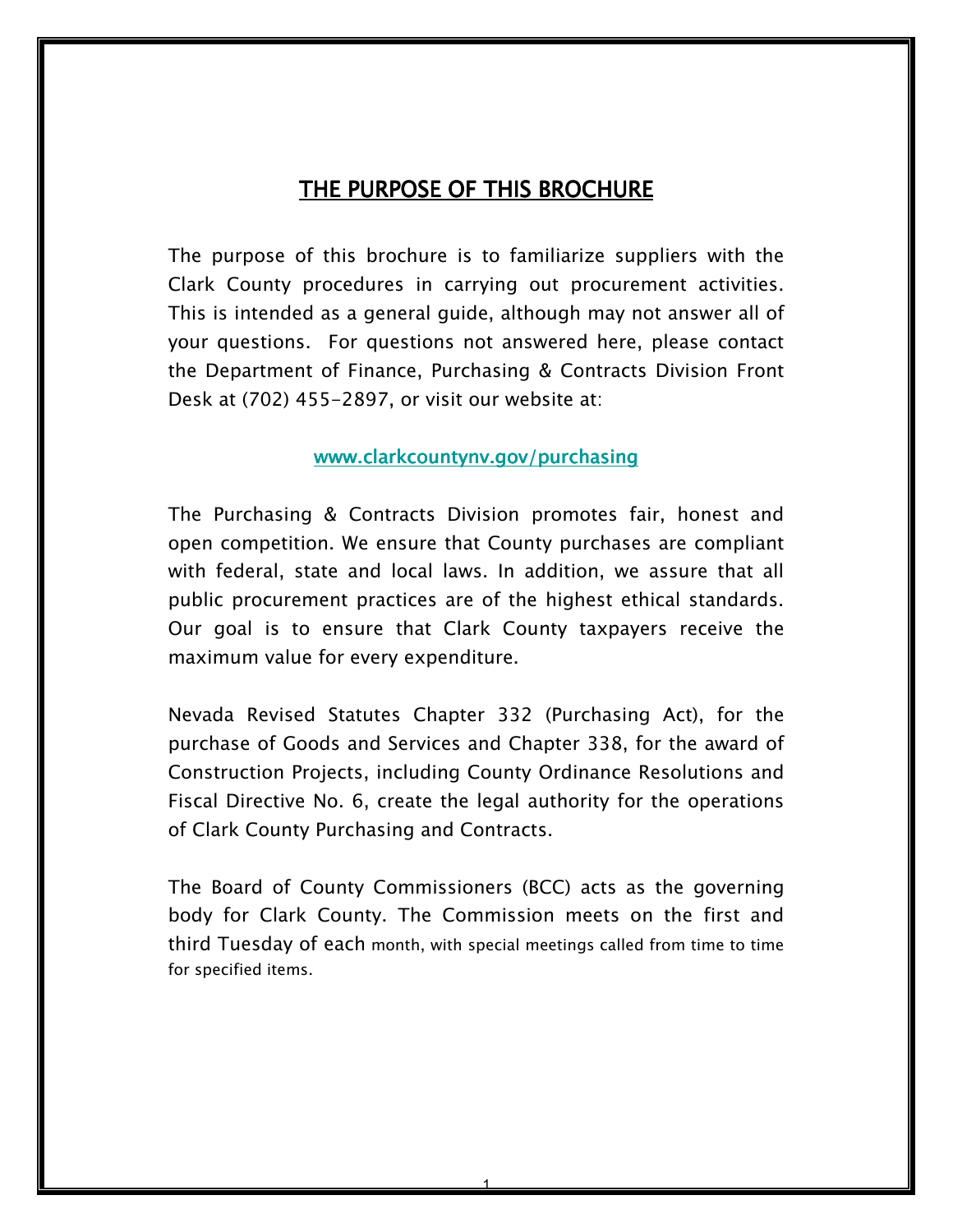# *THE PURPOSE OF THIS BROCHURE*

*The purpose of this brochure is to familiarize suppliers with the Clark County procedures in carrying out procurement activities. This is intended as a general guide, although may not answer all of your questions. For questions not answered here, please contact the Department of Finance, Purchasing & Contracts Division Front Desk at (702) 455-2897, or visit our website at:* 

#### *www.clarkcountynv.gov/purchasing www.clarkcountynv.gov/purchasing*

*The Purchasing & Contracts Division promotes fair, honest and open competition. We ensure that County purchases are compliant with federal, state and local laws. In addition, we assure that all public procurement practices are of the highest ethical standards. Our goal is to ensure that Clark County taxpayers receive the maximum value for every expenditure.* 

*Nevada Revised Statutes Chapter 332 (Purchasing Act), for the purchase of Goods and Services and Chapter 338, for the award of Construction Projects, including County Ordinance Resolutions and Fiscal Directive No. 6, create the legal authority for the operations of Clark County Purchasing and Contracts.* 

*The Board of County Commissioners (BCC) acts as the governing body for Clark County. The Commission meets on the first and third Tuesday of each month, with special meetings called from time to time for specified items.*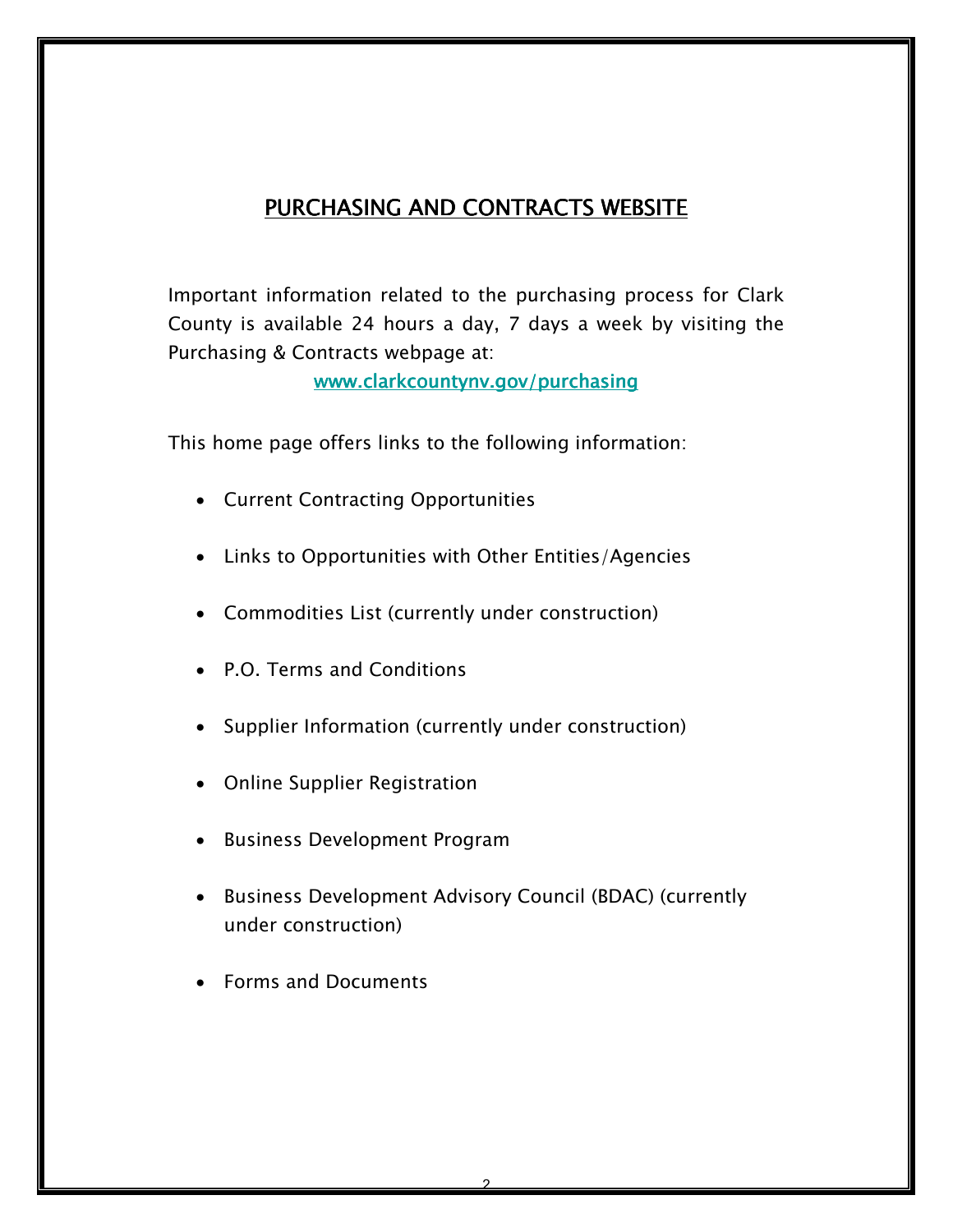# *PURCHASING AND CONTRACTS WEBSITE*

*Important information related to the purchasing process for Clark County is available 24 hours a day, 7 days a week by visiting the Purchasing & Contracts webpage at:* 

*www.clarkcountynv.gov/purchasing www.clarkcountynv.gov/purchasing* 

*This home page offers links to the following information:* 

- *Current Contracting Opportunities*
- *Links to Opportunities with Other Entities/Agencies*
- *Commodities List (currently under construction)*
- *P.O. Terms and Conditions*
- *Supplier Information (currently under construction)*
- *Online Supplier Registration*
- *Business Development Program*
- *Business Development Advisory Council (BDAC) (currently under construction)*
- *Forms and Documents*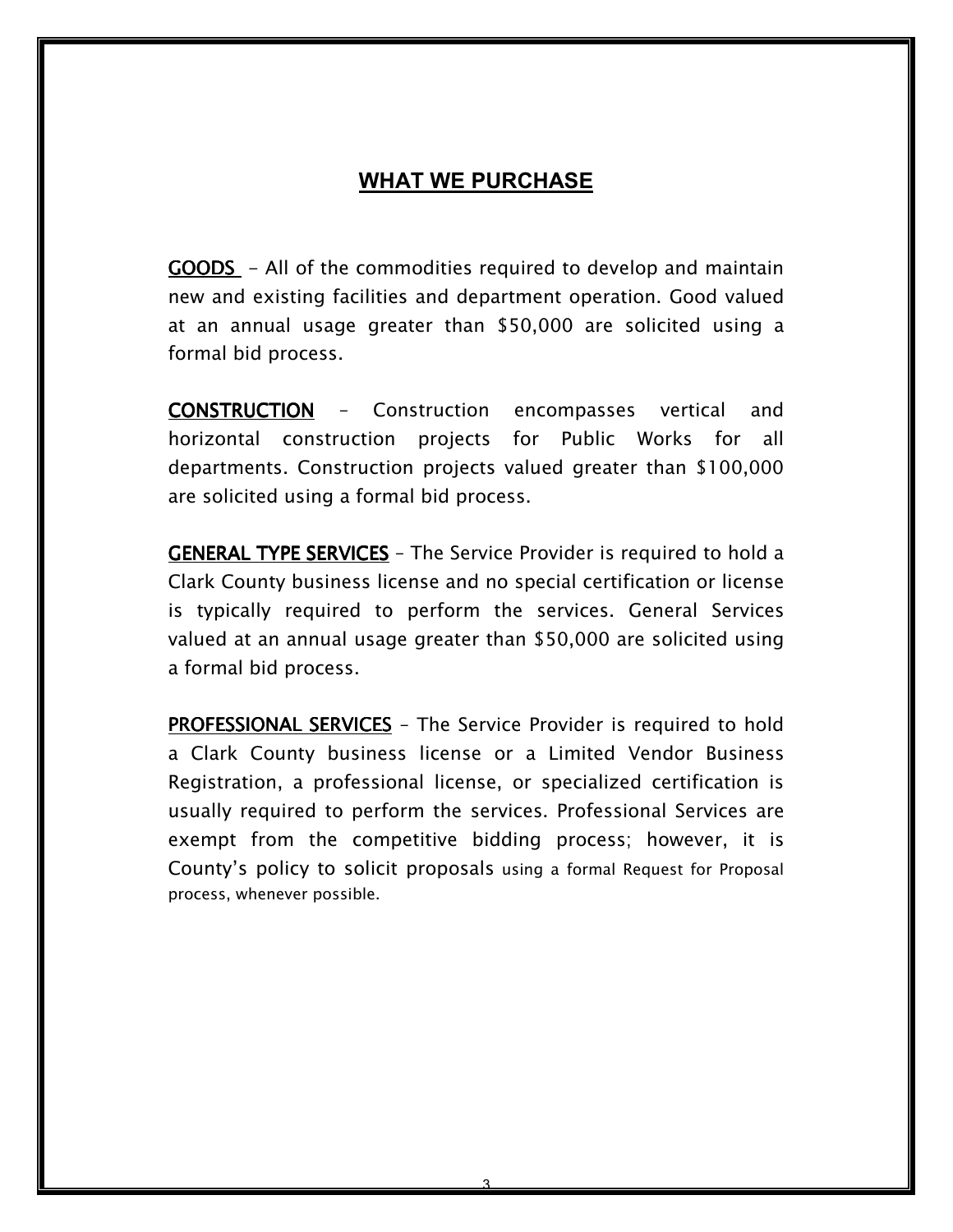### **WHAT WE PURCHASE**

*GOODS - All of the commodities required to develop and maintain new and existing facilities and department operation. Good valued at an annual usage greater than \$50,000 are solicited using a formal bid process.* 

*CONSTRUCTION CONSTRUCTION – Construction encompasses vertical and horizontal construction projects for Public Works for all departments. Construction projects valued greater than \$100,000 are solicited using a formal bid process.* 

*GENERAL TYPE SERVICES – The Service Provider is required to hold a Clark County business license and no special certification or license is typically required to perform the services. General Services valued at an annual usage greater than \$50,000 are solicited using a formal bid process.* 

*PROFESSIONAL SERVICES – The Service Provider is required to hold a Clark County business license or a Limited Vendor Business Registration, a professional license, or specialized certification is usually required to perform the services. Professional Services are exempt from the competitive bidding process; however, it is County's policy to solicit proposals using a formal Request for Proposal process, whenever possible.*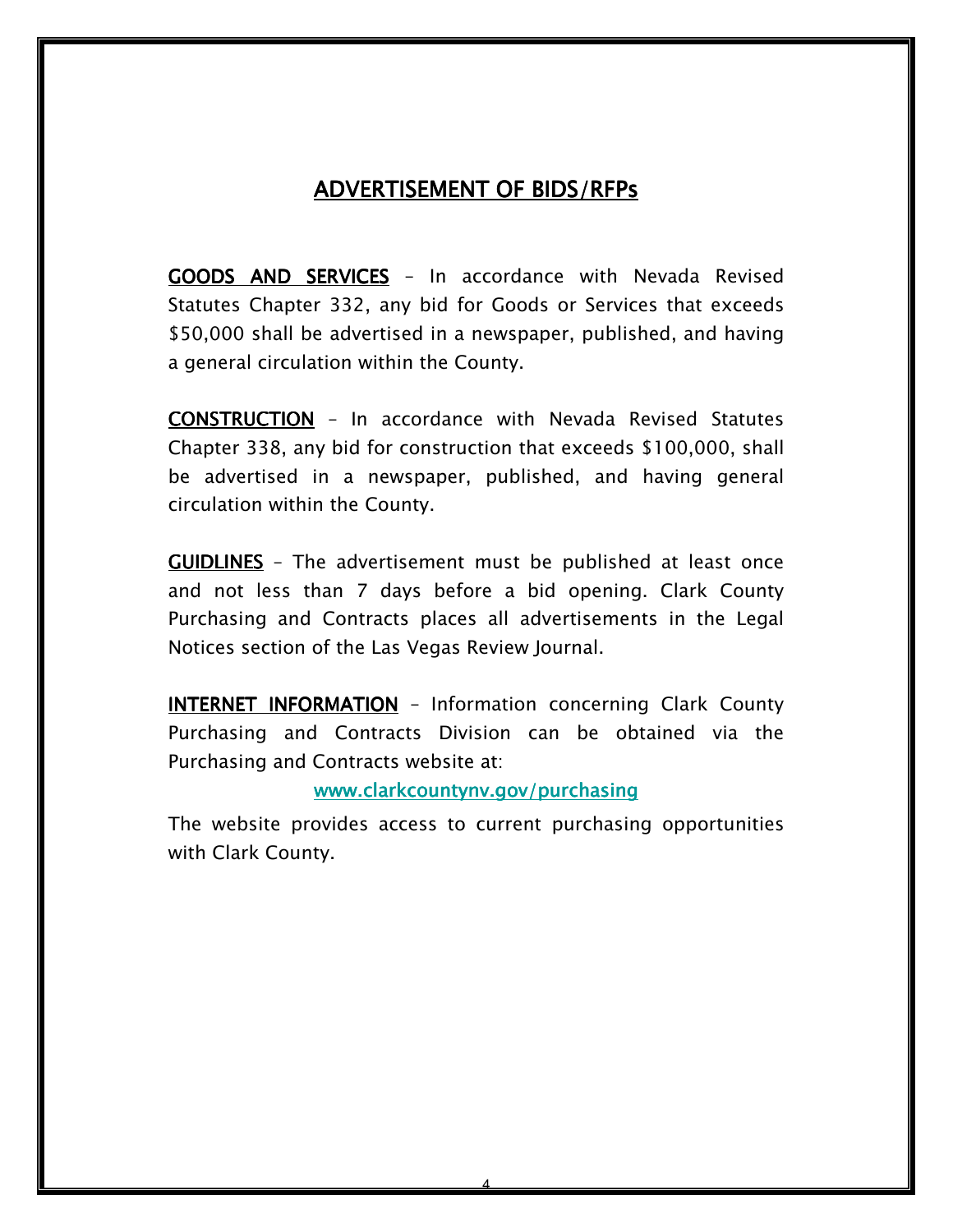### ADVERTISEMENT OF BIDS/RFPs

*GOODS AND SERVICES – In accordance with Nevada Revised Statutes Chapter 332, any bid for Goods or Services that exceeds \$50,000 shall be advertised in a newspaper, published, and having a general circulation within the County.* 

*CONSTRUCTION – In accordance with Nevada Revised Statutes Chapter 338, any bid for construction that exceeds \$100,000, shall be advertised in a newspaper, published, and having general circulation within the County.* 

*GUIDLINES GUIDLINES – The advertisement must be published at least once and not less than 7 days before a bid opening. Clark County*  Purchasing and Contracts places all advertisements in the Legal *Notices section of the Las Vegas Review Journal.* 

*INTERNET INFORMATION – Information concerning Clark County Purchasing and Contracts Division can be obtained via the Purchasing and Contracts website at:* 

#### *www.clarkcountynv.gov/purchasing www.clarkcountynv.gov/purchasing*

*The website provides access to current purchasing opportunities with Clark County.*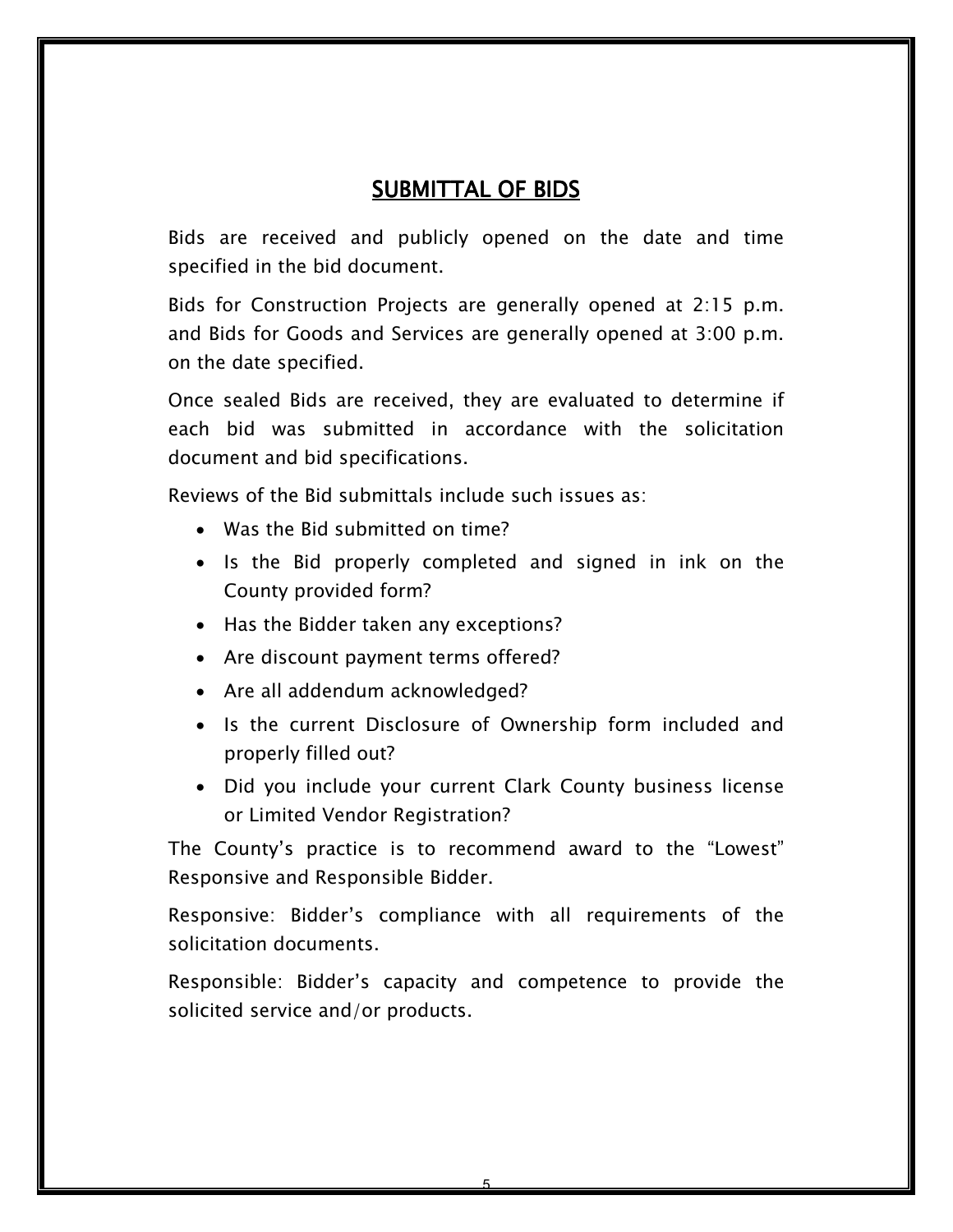# *SUBMITTAL OF BIDS*

*Bids are received and publicly opened on the date and time specified in the bid document.* 

*Bids for Construction Projects are generally opened at 2:15 p.m. and Bids for Goods and Services are generally opened at 3:00 p.m. on the date specified.* 

*Once sealed Bids are received, they are evaluated to determine if each bid was submitted in accordance with the solicitation document and bid specifications.* 

*Reviews of the Bid submittals include such issues as:* 

- *Was the Bid submitted on time?*
- *Is the Bid properly completed and signed in ink on the County provided form?*
- *Has the Bidder taken any exceptions?*
- *Are discount payment terms offered?*
- *Are all addendum acknowledged?*
- *Is the current Disclosure of Ownership form included and properly filled out?*
- *Did you include your current Clark County business license or Limited Vendor Registration?*

*The County's practice is to recommend award to the "Lowest" Responsive and Responsible Bidder.* 

*Responsive: Bidder's compliance with all requirements of the solicitation documents.* 

*Responsible: Bidder's capacity and competence to provide the solicited service and/or products.*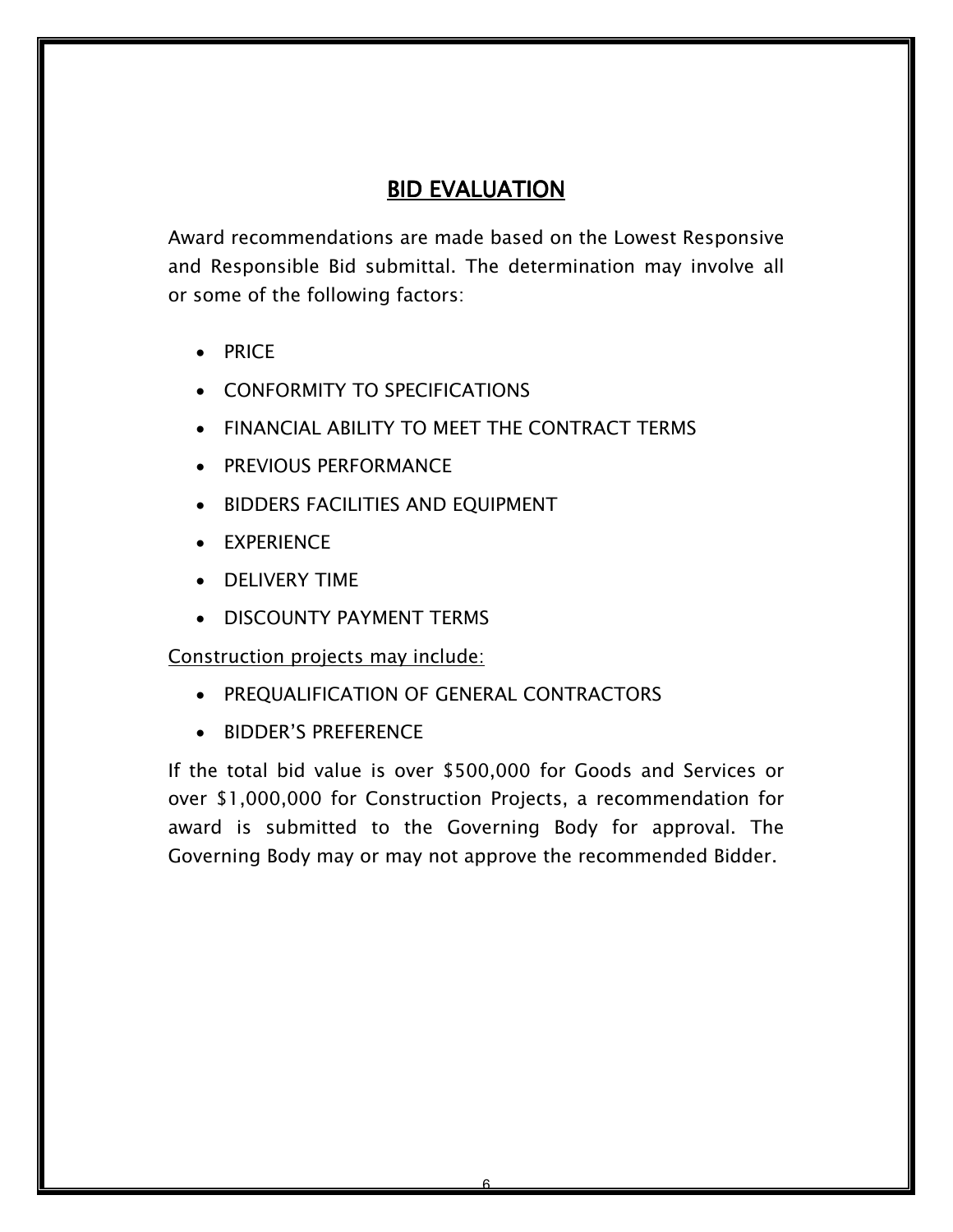# *BID EVALUATION*

*Award recommendations are made based on the Lowest Responsive and Responsible Bid submittal. The determination may involve all or some of the following factors:* 

- *PRICE*
- *CONFORMITY TO SPECIFICATIONS*
- *FINANCIAL ABILITY TO MEET THE CONTRACT TERMS*
- *PREVIOUS PERFORMANCE*
- *BIDDERS FACILITIES AND EQUIPMENT*
- *EXPERIENCE*
- *DELIVERY TIME*
- *DISCOUNTY PAYMENT TERMS*

*Construction projects may include:*

- *PREQUALIFICATION OF GENERAL CONTRACTORS*
- *BIDDER'S PREFERENCE*

*If the total bid value is over \$500,000 for Goods and Services or over \$1,000,000 for Construction Projects, a recommendation for award is submitted to the Governing Body for approval. The Governing Body may or may not approve the recommended Bidder.*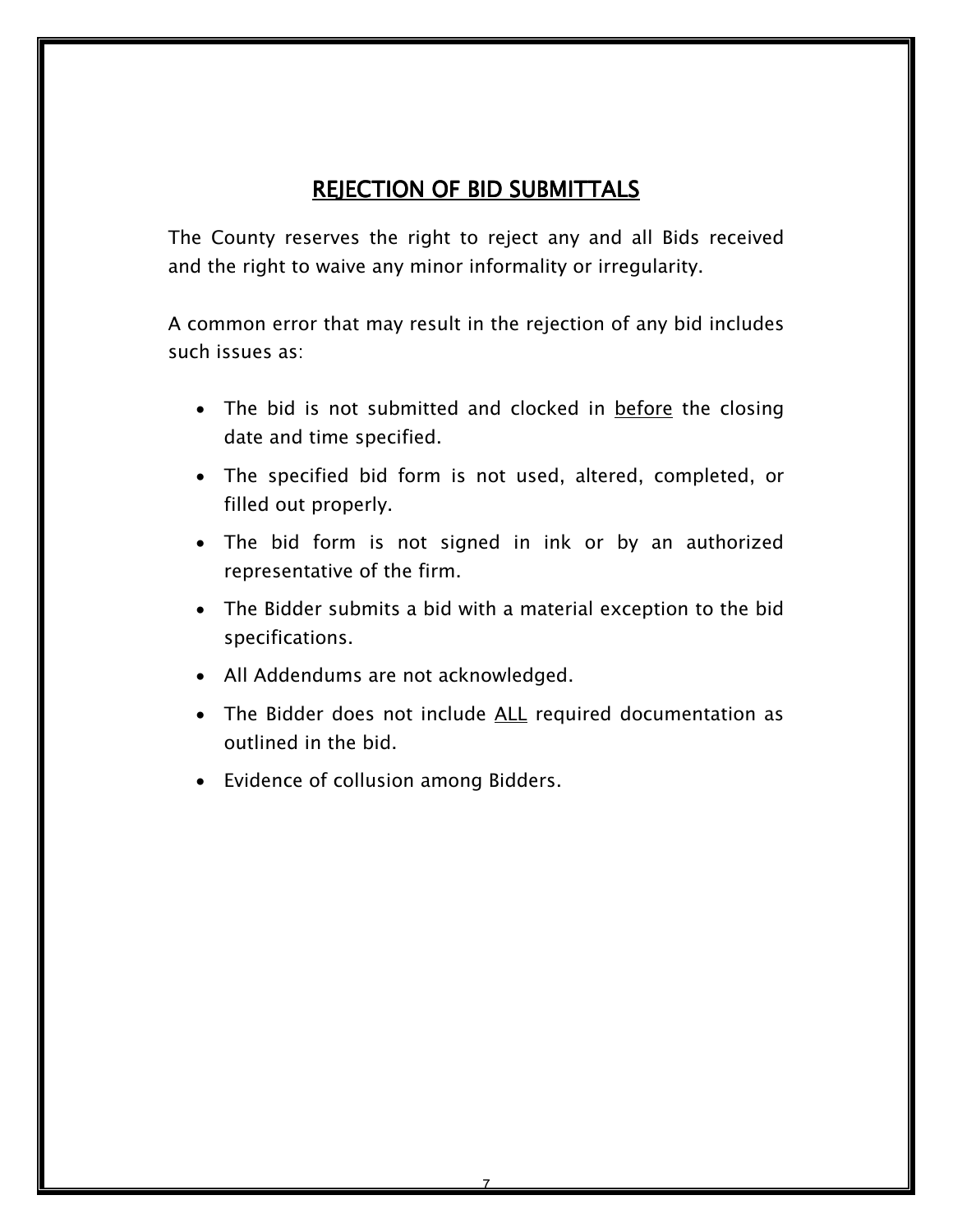# *REJECTION OF BID SUBMITTALS REJECTION OF BID SUBMITTALS*

*The County reserves the right to reject any and all Bids received and the right to waive any minor informality or irregularity.* 

*A common error that may result in the rejection of any bid includes such issues as:* 

- *The bid is not submitted and clocked in before the closing date and time specified.*
- *The specified bid form is not used, altered, completed, or filled out properly.*
- *The bid form is not signed in ink or by an authorized representative of the firm.*
- *The Bidder submits a bid with a material exception to the bid specifications.*
- *All Addendums are not acknowledged.*
- *The Bidder does not include ALL required documentation as outlined in the bid.*
- *Evidence of collusion among Bidders.*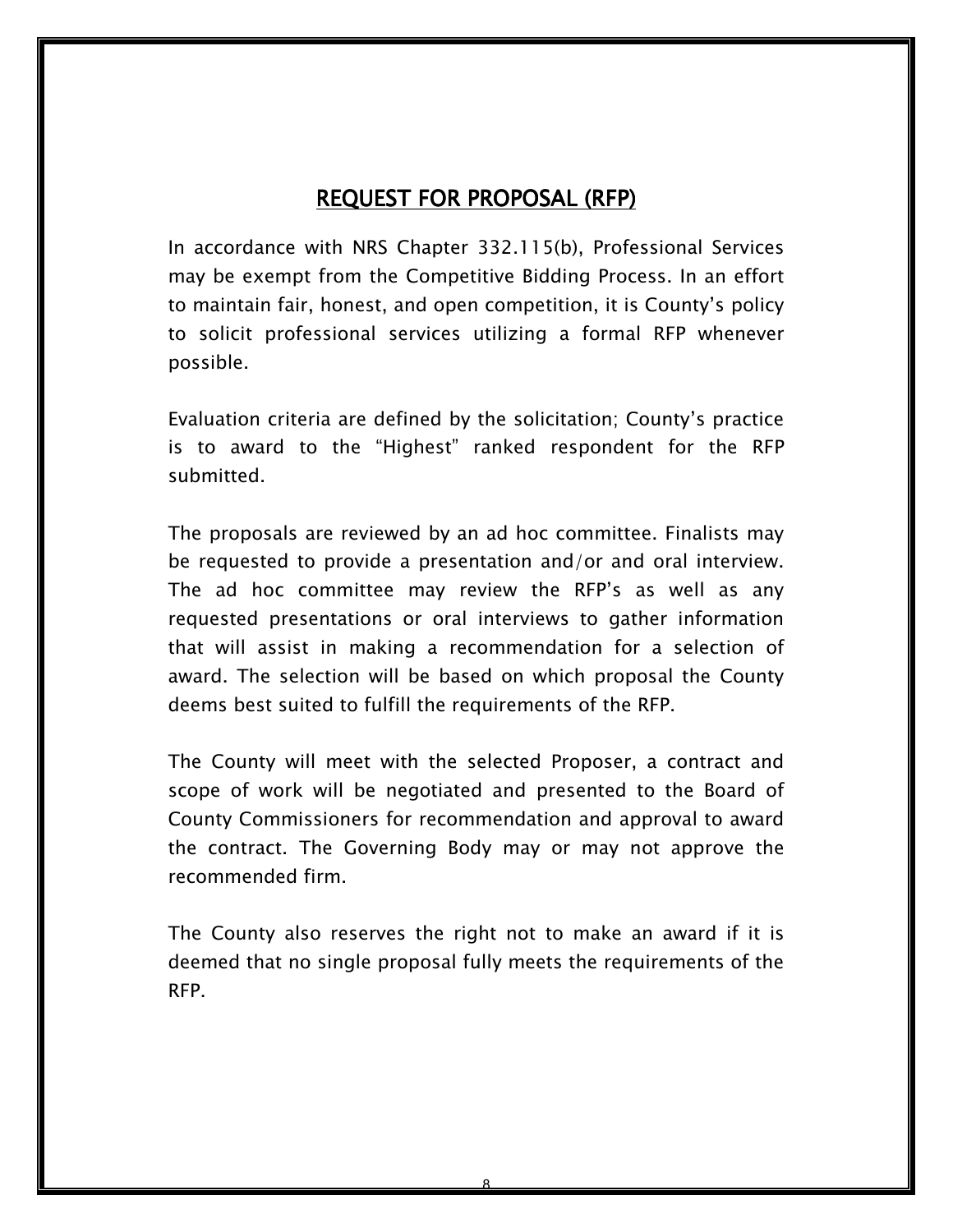### *REQUEST FOR PROPOSAL (RFP)*

*In accordance with NRS Chapter 332.115(b), Professional Services may be exempt from the Competitive Bidding Process. In an effort to maintain fair, honest, and open competition, it is County's policy to solicit professional services utilizing a formal RFP whenever possible.* 

*Evaluation criteria are defined by the solicitation; County's practice is to award to the "Highest" ranked respondent for the RFP submitted.* 

*The proposals are reviewed by an ad hoc committee. Finalists may be requested to provide a presentation and/or and oral interview. The ad hoc committee may review the RFP's as well as any requested presentations or oral interviews to gather information that will assist in making a recommendation for a selection of award. The selection will be based on which proposal the County deems best suited to fulfill the requirements of the RFP.* 

*The County will meet with the selected Proposer, a contract and scope of work will be negotiated and presented to the Board of County Commissioners for recommendation and approval to award the contract. The Governing Body may or may not approve the recommended firm.* 

*The County also reserves the right not to make an award if it is deemed that no single proposal fully meets the requirements of the RFP.*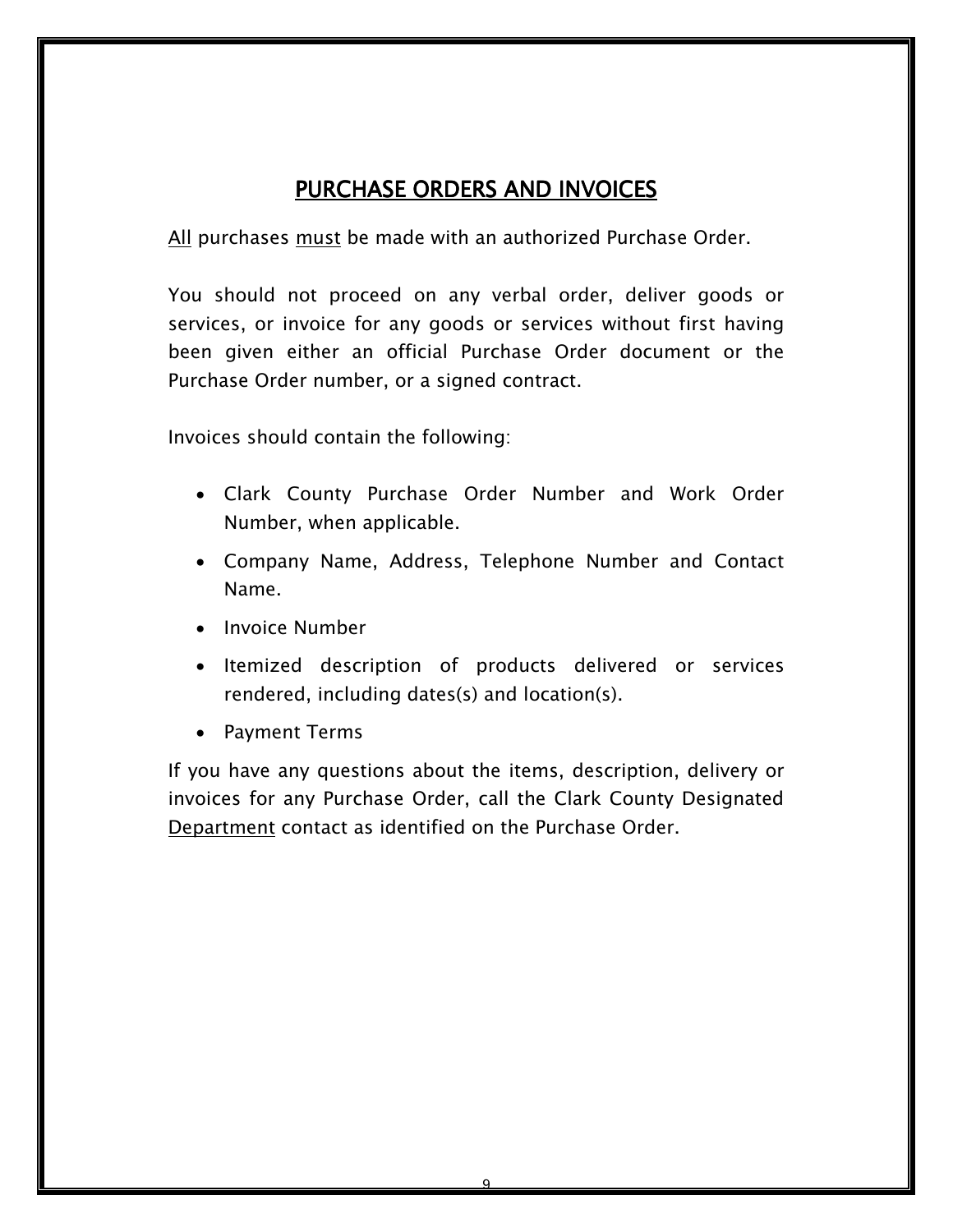# *PURCHASE ORDERS AND INVOICES*

*All purchases must be made with an authorized Purchase Order.* 

*You should not proceed on any verbal order, deliver goods or services, or invoice for any goods or services without first having been given either an official Purchase Order document or the Purchase Order number, or a signed contract.* 

*Invoices should contain the following:* 

- *Clark County Purchase Order Number and Work Order Number, when applicable.*
- *Company Name, Address, Telephone Number and Contact Name.*
- *Invoice Number*
- *Itemized description of products delivered or services rendered, including dates(s) and location(s).*
- *Payment Terms*

*If you have any questions about the items, description, delivery or invoices for any Purchase Order, call the Clark County Designated Department contact as identified on the Purchase Order.*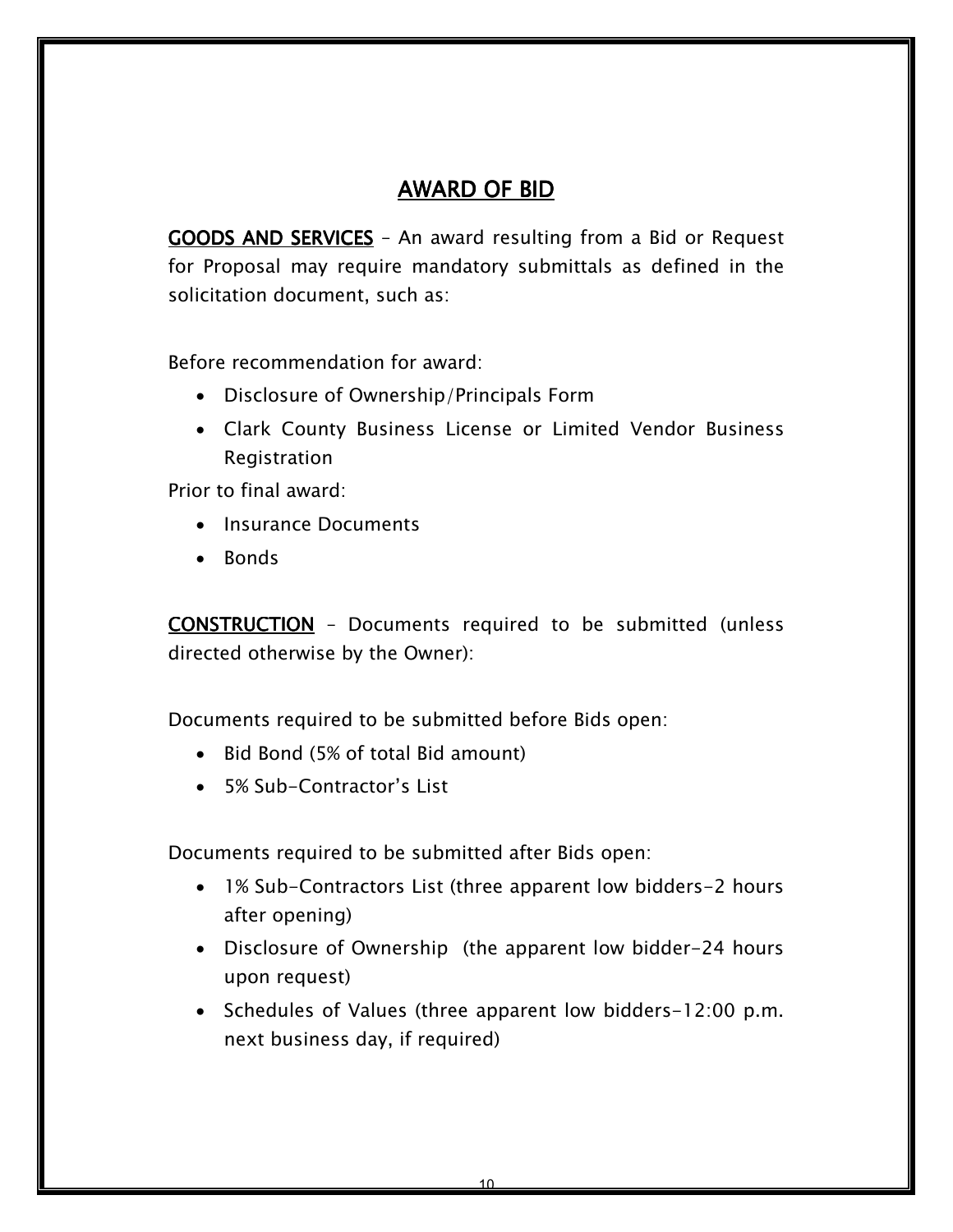# *AWARD OF BID BID*

*GOODS AND SERVICES – An award resulting from a Bid or Request for Proposal may require mandatory submittals as defined in the solicitation document, such as:* 

*Before recommendation for award:* 

- *Disclosure of Ownership/Principals Form*
- *Clark County Business License or Limited Vendor Business Registration*

*Prior to final award:* 

- *Insurance Documents*
- *Bonds*

*CONSTRUCTION – Documents required to be submitted (unless directed otherwise by the Owner):* 

*Documents required to be submitted before Bids open:* 

- *Bid Bond (5% of total Bid amount)*
- *5% Sub-Contractor's List*

*Documents required to be submitted after Bids open:*

- *1% Sub-Contractors List (three apparent low bidders-2 hours after opening)*
- *Disclosure of Ownership (the apparent low bidder-24 hours upon request)*
- *Schedules of Values (three apparent low bidders-12:00 p.m. next business day, if required)*